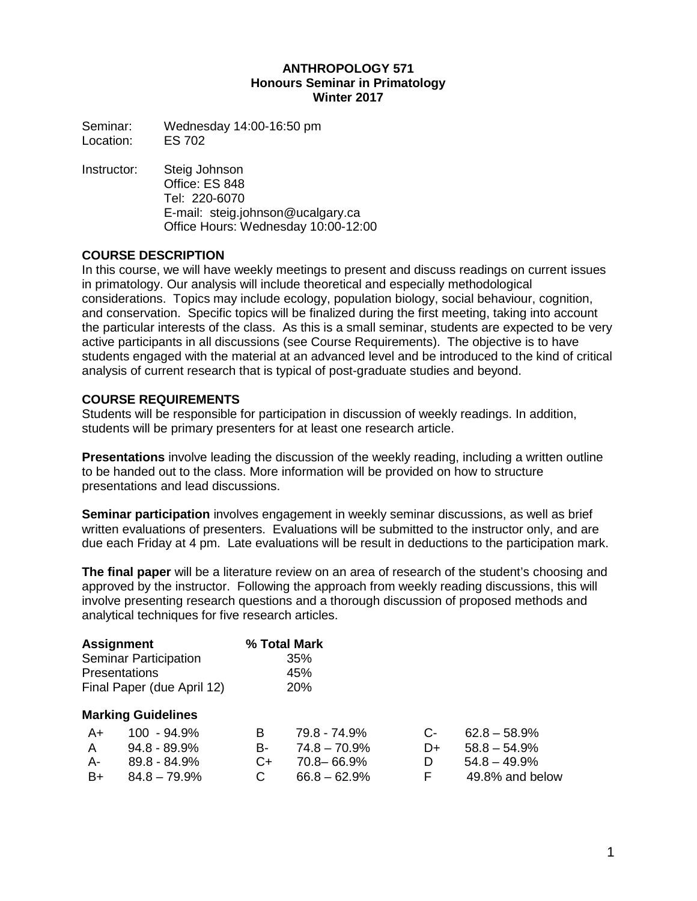### **ANTHROPOLOGY 571 Honours Seminar in Primatology Winter 2017**

Seminar: Wednesday 14:00-16:50 pm

Location: ES 702

Instructor: Steig Johnson Office: ES 848 Tel: 220-6070 E-mail: steig.johnson@ucalgary.ca Office Hours: Wednesday 10:00-12:00

# **COURSE DESCRIPTION**

In this course, we will have weekly meetings to present and discuss readings on current issues in primatology. Our analysis will include theoretical and especially methodological considerations. Topics may include ecology, population biology, social behaviour, cognition, and conservation. Specific topics will be finalized during the first meeting, taking into account the particular interests of the class. As this is a small seminar, students are expected to be very active participants in all discussions (see Course Requirements). The objective is to have students engaged with the material at an advanced level and be introduced to the kind of critical analysis of current research that is typical of post-graduate studies and beyond.

# **COURSE REQUIREMENTS**

Students will be responsible for participation in discussion of weekly readings. In addition, students will be primary presenters for at least one research article.

**Presentations** involve leading the discussion of the weekly reading, including a written outline to be handed out to the class. More information will be provided on how to structure presentations and lead discussions.

**Seminar participation** involves engagement in weekly seminar discussions, as well as brief written evaluations of presenters. Evaluations will be submitted to the instructor only, and are due each Friday at 4 pm. Late evaluations will be result in deductions to the participation mark.

**The final paper** will be a literature review on an area of research of the student's choosing and approved by the instructor. Following the approach from weekly reading discussions, this will involve presenting research questions and a thorough discussion of proposed methods and analytical techniques for five research articles.

| <b>Assignment</b>            |                           |     | % Total Mark    |      |                 |
|------------------------------|---------------------------|-----|-----------------|------|-----------------|
| <b>Seminar Participation</b> |                           | 35% |                 |      |                 |
| Presentations                |                           | 45% |                 |      |                 |
| Final Paper (due April 12)   |                           | 20% |                 |      |                 |
|                              | <b>Marking Guidelines</b> |     |                 |      |                 |
| A+                           | $100 - 94.9\%$            | B   | 79.8 - 74.9%    | $C-$ | $62.8 - 58.9\%$ |
| $\mathsf{A}$                 | 94.8 - 89.9%              | в-  | $74.8 - 70.9\%$ | D+   | $58.8 - 54.9%$  |
| A-                           | 89.8 - 84.9%              | C+  | 70.8 - 66.9%    | D    | $54.8 - 49.9\%$ |
| B+                           | $84.8 - 79.9%$            | C.  | $66.8 - 62.9%$  | F    | 49.8% and below |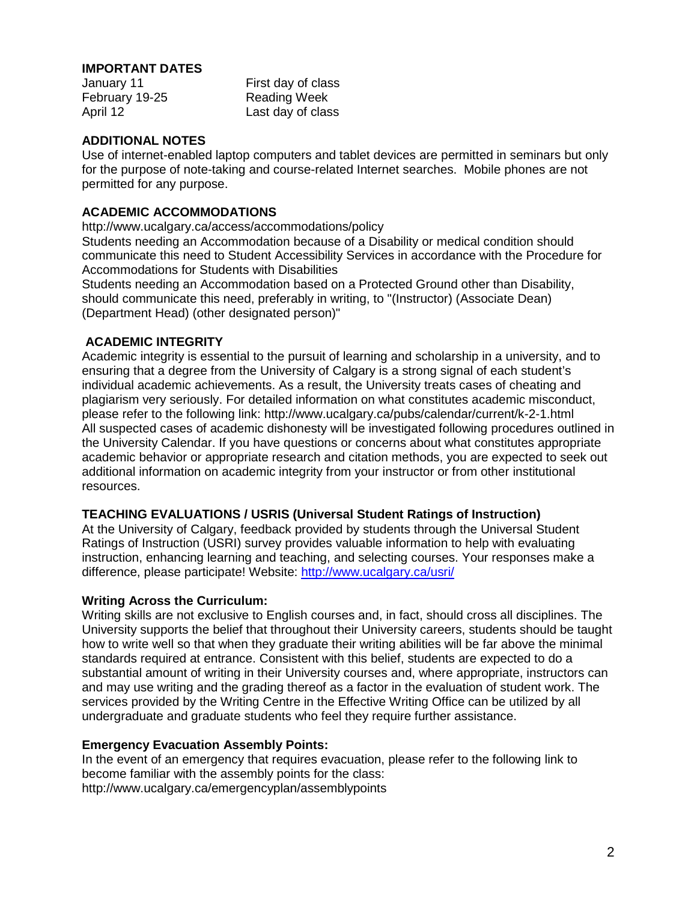# **IMPORTANT DATES**<br>January 11

First day of class February 19-25 Reading Week April 12 Last day of class

# **ADDITIONAL NOTES**

Use of internet-enabled laptop computers and tablet devices are permitted in seminars but only for the purpose of note-taking and course-related Internet searches. Mobile phones are not permitted for any purpose.

# **ACADEMIC ACCOMMODATIONS**

http://www.ucalgary.ca/access/accommodations/policy

Students needing an Accommodation because of a Disability or medical condition should communicate this need to Student Accessibility Services in accordance with the Procedure for Accommodations for Students with Disabilities

Students needing an Accommodation based on a Protected Ground other than Disability, should communicate this need, preferably in writing, to "(Instructor) (Associate Dean) (Department Head) (other designated person)"

# **ACADEMIC INTEGRITY**

Academic integrity is essential to the pursuit of learning and scholarship in a university, and to ensuring that a degree from the University of Calgary is a strong signal of each student's individual academic achievements. As a result, the University treats cases of cheating and plagiarism very seriously. For detailed information on what constitutes academic misconduct, please refer to the following link: http://www.ucalgary.ca/pubs/calendar/current/k-2-1.html All suspected cases of academic dishonesty will be investigated following procedures outlined in the University Calendar. If you have questions or concerns about what constitutes appropriate academic behavior or appropriate research and citation methods, you are expected to seek out additional information on academic integrity from your instructor or from other institutional resources.

#### **TEACHING EVALUATIONS / USRIS (Universal Student Ratings of Instruction)**

At the University of Calgary, feedback provided by students through the Universal Student Ratings of Instruction (USRI) survey provides valuable information to help with evaluating instruction, enhancing learning and teaching, and selecting courses. Your responses make a difference, please participate! Website:<http://www.ucalgary.ca/usri/>

# **Writing Across the Curriculum:**

Writing skills are not exclusive to English courses and, in fact, should cross all disciplines. The University supports the belief that throughout their University careers, students should be taught how to write well so that when they graduate their writing abilities will be far above the minimal standards required at entrance. Consistent with this belief, students are expected to do a substantial amount of writing in their University courses and, where appropriate, instructors can and may use writing and the grading thereof as a factor in the evaluation of student work. The services provided by the Writing Centre in the Effective Writing Office can be utilized by all undergraduate and graduate students who feel they require further assistance.

# **Emergency Evacuation Assembly Points:**

In the event of an emergency that requires evacuation, please refer to the following link to become familiar with the assembly points for the class: http://www.ucalgary.ca/emergencyplan/assemblypoints